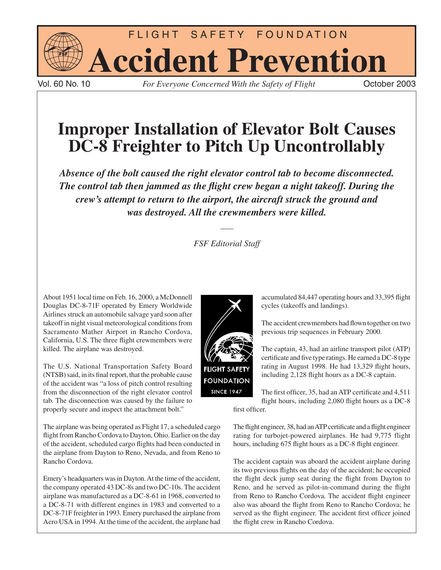

For Everyone Concerned With the Safety of Flight **Concerned Concerned With the Safety of Flight** 

# **Improper Installation of Elevator Bolt Causes DC-8 Freighter to Pitch Up Uncontrollably**

*Absence of the bolt caused the right elevator control tab to become disconnected. The control tab then jammed as the flight crew began a night takeoff. During the crew's attempt to return to the airport, the aircraft struck the ground and was destroyed. All the crewmembers were killed.*

*FSF Editorial Staff*

About 1951 local time on Feb. 16, 2000, a McDonnell Douglas DC-8-71F operated by Emery Worldwide Airlines struck an automobile salvage yard soon after takeoff in night visual meteorological conditions from Sacramento Mather Airport in Rancho Cordova, California, U.S. The three flight crewmembers were killed. The airplane was destroyed.

The U.S. National Transportation Safety Board (NTSB) said, in its final report, that the probable cause of the accident was "a loss of pitch control resulting from the disconnection of the right elevator control tab. The disconnection was caused by the failure to properly secure and inspect the attachment bolt."

The airplane was being operated as Flight 17, a scheduled cargo flight from Rancho Cordova to Dayton, Ohio. Earlier on the day of the accident, scheduled cargo flights had been conducted in the airplane from Dayton to Reno, Nevada, and from Reno to Rancho Cordova.

Emery's headquarters was in Dayton. At the time of the accident, the company operated 43 DC-8s and two DC-10s. The accident airplane was manufactured as a DC-8-61 in 1968, converted to a DC-8-71 with different engines in 1983 and converted to a DC-8-71F freighter in 1993. Emery purchased the airplane from Aero USA in 1994. At the time of the accident, the airplane had



accumulated 84,447 operating hours and 33,395 flight cycles (takeoffs and landings).

The accident crewmembers had flown together on two previous trip sequences in February 2000.

The captain, 43, had an airline transport pilot (ATP) certificate and five type ratings. He earned a DC-8 type rating in August 1998. He had 13,329 flight hours, including 2,128 flight hours as a DC-8 captain.

The first officer, 35, had an ATP certificate and 4,511 flight hours, including 2,080 flight hours as a DC-8

first officer.

The flight engineer, 38, had an ATP certificate and a flight engineer rating for turbojet-powered airplanes. He had 9,775 flight hours, including 675 flight hours as a DC-8 flight engineer.

The accident captain was aboard the accident airplane during its two previous flights on the day of the accident; he occupied the flight deck jump seat during the flight from Dayton to Reno, and he served as pilot-in-command during the flight from Reno to Rancho Cordova. The accident flight engineer also was aboard the flight from Reno to Rancho Cordova; he served as the flight engineer. The accident first officer joined the flight crew in Rancho Cordova.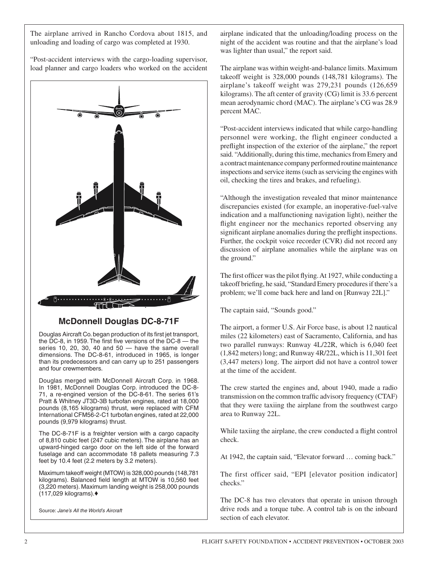The airplane arrived in Rancho Cordova about 1815, and unloading and loading of cargo was completed at 1930.

"Post-accident interviews with the cargo-loading supervisor, load planner and cargo loaders who worked on the accident



# **McDonnell Douglas DC-8-71F**

Douglas Aircraft Co. began production of its first jet transport, the DC-8, in 1959. The first five versions of the DC-8  $-$  the series 10, 20, 30, 40 and  $50 -$  have the same overall dimensions. The DC-8-61, introduced in 1965, is longer than its predecessors and can carry up to 251 passengers and four crewmembers.

Douglas merged with McDonnell Aircraft Corp. in 1968. In 1981, McDonnell Douglas Corp. introduced the DC-8- 71, a re-engined version of the DC-8-61. The series 61's Pratt & Whitney JT3D-3B turbofan engines, rated at 18,000 pounds (8,165 kilograms) thrust, were replaced with CFM International CFM56-2-C1 turbofan engines, rated at 22,000 pounds (9,979 kilograms) thrust.

The DC-8-71F is a freighter version with a cargo capacity of 8,810 cubic feet (247 cubic meters). The airplane has an upward-hinged cargo door on the left side of the forward fuselage and can accommodate 18 pallets measuring 7.3 feet by 10.4 feet (2.2 meters by 3.2 meters).

Maximum takeoff weight (MTOW) is 328,000 pounds (148,781 kilograms). Balanced field length at MTOW is 10,560 feet (3,220 meters). Maximum landing weight is 258,000 pounds (117,029 kilograms).♦

Source: *Jane's All the World's Aircraft*

airplane indicated that the unloading/loading process on the night of the accident was routine and that the airplane's load was lighter than usual," the report said.

The airplane was within weight-and-balance limits. Maximum takeoff weight is 328,000 pounds (148,781 kilograms). The airplane's takeoff weight was 279,231 pounds (126,659 kilograms). The aft center of gravity (CG) limit is 33.6 percent mean aerodynamic chord (MAC). The airplane's CG was 28.9 percent MAC.

"Post-accident interviews indicated that while cargo-handling personnel were working, the flight engineer conducted a preflight inspection of the exterior of the airplane," the report said. "Additionally, during this time, mechanics from Emery and a contract maintenance company performed routine maintenance inspections and service items (such as servicing the engines with oil, checking the tires and brakes, and refueling).

"Although the investigation revealed that minor maintenance discrepancies existed (for example, an inoperative-fuel-valve indication and a malfunctioning navigation light), neither the flight engineer nor the mechanics reported observing any significant airplane anomalies during the preflight inspections. Further, the cockpit voice recorder (CVR) did not record any discussion of airplane anomalies while the airplane was on the ground."

The first officer was the pilot flying. At 1927, while conducting a takeoff briefing, he said, "Standard Emery procedures if there's a problem; we'll come back here and land on [Runway 22L]."

The captain said, "Sounds good."

The airport, a former U.S. Air Force base, is about 12 nautical miles (22 kilometers) east of Sacramento, California, and has two parallel runways: Runway 4L/22R, which is 6,040 feet (1,842 meters) long; and Runway 4R/22L, which is 11,301 feet (3,447 meters) long. The airport did not have a control tower at the time of the accident.

The crew started the engines and, about 1940, made a radio transmission on the common traffic advisory frequency (CTAF) that they were taxiing the airplane from the southwest cargo area to Runway 22L.

While taxiing the airplane, the crew conducted a flight control check.

At 1942, the captain said, "Elevator forward … coming back."

The first officer said, "EPI [elevator position indicator] checks."

The DC-8 has two elevators that operate in unison through drive rods and a torque tube. A control tab is on the inboard section of each elevator.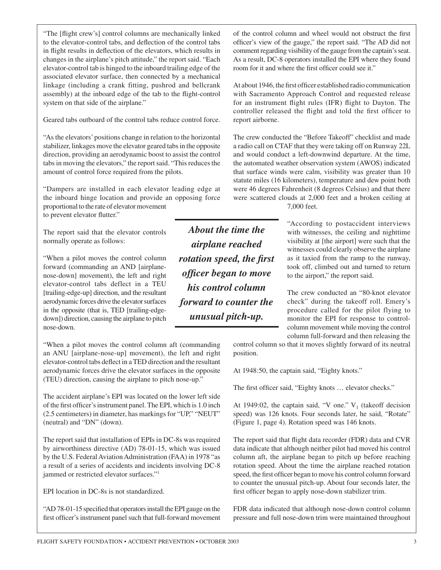"The [flight crew's] control columns are mechanically linked to the elevator-control tabs, and deflection of the control tabs in flight results in deflection of the elevators, which results in changes in the airplane's pitch attitude," the report said. "Each elevator-control tab is hinged to the inboard trailing edge of the associated elevator surface, then connected by a mechanical linkage (including a crank fitting, pushrod and bellcrank assembly) at the inboard edge of the tab to the flight-control system on that side of the airplane."

Geared tabs outboard of the control tabs reduce control force.

"As the elevators' positions change in relation to the horizontal stabilizer, linkages move the elevator geared tabs in the opposite direction, providing an aerodynamic boost to assist the control tabs in moving the elevators," the report said. "This reduces the amount of control force required from the pilots.

"Dampers are installed in each elevator leading edge at the inboard hinge location and provide an opposing force proportional to the rate of elevator movement to prevent elevator flutter."

The report said that the elevator controls normally operate as follows:

"When a pilot moves the control column forward (commanding an AND [airplanenose-down] movement), the left and right elevator-control tabs deflect in a TEU [trailing-edge-up] direction, and the resultant aerodynamic forces drive the elevator surfaces in the opposite (that is, TED [trailing-edgedown]) direction, causing the airplane to pitch nose-down.

"When a pilot moves the control column aft (commanding an ANU [airplane-nose-up] movement), the left and right elevator-control tabs deflect in a TED direction and the resultant aerodynamic forces drive the elevator surfaces in the opposite (TEU) direction, causing the airplane to pitch nose-up."

The accident airplane's EPI was located on the lower left side of the first officer's instrument panel. The EPI, which is 1.0 inch (2.5 centimeters) in diameter, has markings for "UP," "NEUT" (neutral) and "DN" (down).

The report said that installation of EPIs in DC-8s was required by airworthiness directive (AD) 78-01-15, which was issued by the U.S. Federal Aviation Administration (FAA) in 1978 "as a result of a series of accidents and incidents involving DC-8 jammed or restricted elevator surfaces."1

EPI location in DC-8s is not standardized.

"AD 78-01-15 specified that operators install the EPI gauge on the first officer's instrument panel such that full-forward movement of the control column and wheel would not obstruct the first officer's view of the gauge," the report said. "The AD did not comment regarding visibility of the gauge from the captain's seat. As a result, DC-8 operators installed the EPI where they found room for it and where the first officer could see it."

At about 1946, the first officer established radio communication with Sacramento Approach Control and requested release for an instrument flight rules (IFR) flight to Dayton. The controller released the flight and told the first officer to report airborne.

The crew conducted the "Before Takeoff" checklist and made a radio call on CTAF that they were taking off on Runway 22L and would conduct a left-downwind departure. At the time, the automated weather observation system (AWOS) indicated that surface winds were calm, visibility was greater than 10 statute miles (16 kilometers), temperature and dew point both were 46 degrees Fahrenheit (8 degrees Celsius) and that there were scattered clouds at 2,000 feet and a broken ceiling at

7,000 feet.

"According to postaccident interviews with witnesses, the ceiling and nighttime visibility at [the airport] were such that the witnesses could clearly observe the airplane as it taxied from the ramp to the runway, took off, climbed out and turned to return to the airport," the report said.

The crew conducted an "80-knot elevator check" during the takeoff roll. Emery's procedure called for the pilot flying to monitor the EPI for response to controlcolumn movement while moving the control column full-forward and then releasing the

control column so that it moves slightly forward of its neutral position.

At 1948:50, the captain said, "Eighty knots."

The first officer said, "Eighty knots … elevator checks."

At 1949:02, the captain said, "V one."  $V_1$  (takeoff decision speed) was 126 knots. Four seconds later, he said, "Rotate" (Figure 1, page 4). Rotation speed was 146 knots.

The report said that flight data recorder (FDR) data and CVR data indicate that although neither pilot had moved his control column aft, the airplane began to pitch up before reaching rotation speed. About the time the airplane reached rotation speed, the first officer began to move his control column forward to counter the unusual pitch-up. About four seconds later, the first officer began to apply nose-down stabilizer trim.

FDR data indicated that although nose-down control column pressure and full nose-down trim were maintained throughout

*About the time the airplane reached rotation speed, the first officer began to move his control column forward to counter the unusual pitch-up.*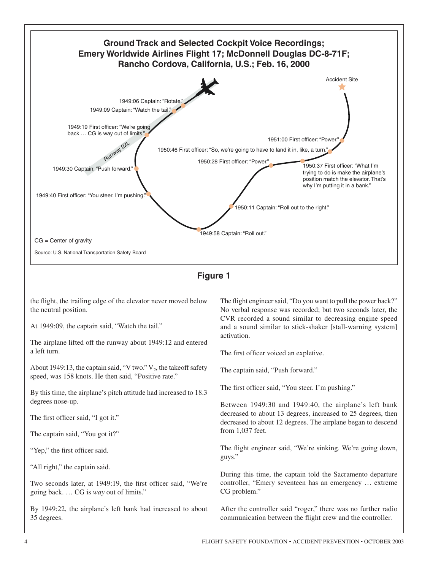

By 1949:22, the airplane's left bank had increased to about 35 degrees.

After the controller said "roger," there was no further radio communication between the flight crew and the controller.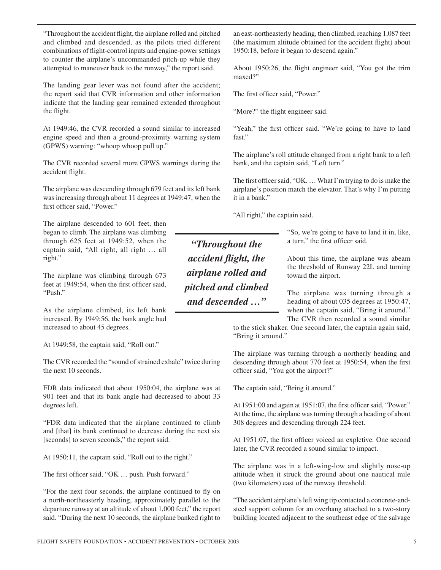"Throughout the accident flight, the airplane rolled and pitched and climbed and descended, as the pilots tried different combinations of flight-control inputs and engine-power settings to counter the airplane's uncommanded pitch-up while they attempted to maneuver back to the runway," the report said.

The landing gear lever was not found after the accident; the report said that CVR information and other information indicate that the landing gear remained extended throughout the flight.

At 1949:46, the CVR recorded a sound similar to increased engine speed and then a ground-proximity warning system (GPWS) warning: "whoop whoop pull up."

The CVR recorded several more GPWS warnings during the accident flight.

The airplane was descending through 679 feet and its left bank was increasing through about 11 degrees at 1949:47, when the first officer said, "Power."

The airplane descended to 601 feet, then began to climb. The airplane was climbing through 625 feet at 1949:52, when the captain said, "All right, all right … all right."

The airplane was climbing through 673 feet at 1949:54, when the first officer said, "Push."

As the airplane climbed, its left bank increased. By 1949:56, the bank angle had increased to about 45 degrees.

At 1949:58, the captain said, "Roll out."

The CVR recorded the "sound of strained exhale" twice during the next 10 seconds.

FDR data indicated that about 1950:04, the airplane was at 901 feet and that its bank angle had decreased to about 33 degrees left.

"FDR data indicated that the airplane continued to climb and [that] its bank continued to decrease during the next six [seconds] to seven seconds," the report said.

At 1950:11, the captain said, "Roll out to the right."

The first officer said, "OK … push. Push forward."

"For the next four seconds, the airplane continued to fly on a north-northeasterly heading, approximately parallel to the departure runway at an altitude of about 1,000 feet," the report said. "During the next 10 seconds, the airplane banked right to an east-northeasterly heading, then climbed, reaching 1,087 feet (the maximum altitude obtained for the accident flight) about 1950:18, before it began to descend again."

About 1950:26, the flight engineer said, "You got the trim maxed?"

The first officer said, "Power."

"More?" the flight engineer said.

"Yeah," the first officer said. "We're going to have to land fast"

The airplane's roll attitude changed from a right bank to a left bank, and the captain said, "Left turn."

The first officer said, "OK. ... What I'm trying to do is make the airplane's position match the elevator. That's why I'm putting it in a bank."

"All right," the captain said.

*"Throughout the accident flight, the airplane rolled and pitched and climbed and descended …"*

"So, we're going to have to land it in, like, a turn," the first officer said.

About this time, the airplane was abeam the threshold of Runway 22L and turning toward the airport.

The airplane was turning through a heading of about 035 degrees at 1950:47, when the captain said, "Bring it around." The CVR then recorded a sound similar

to the stick shaker. One second later, the captain again said, "Bring it around."

The airplane was turning through a northerly heading and descending through about 770 feet at 1950:54, when the first officer said, "You got the airport?"

The captain said, "Bring it around."

At 1951:00 and again at 1951:07, the first officer said, "Power." At the time, the airplane was turning through a heading of about 308 degrees and descending through 224 feet.

At 1951:07, the first officer voiced an expletive. One second later, the CVR recorded a sound similar to impact.

The airplane was in a left-wing-low and slightly nose-up attitude when it struck the ground about one nautical mile (two kilometers) east of the runway threshold.

"The accident airplane's left wing tip contacted a concrete-andsteel support column for an overhang attached to a two-story building located adjacent to the southeast edge of the salvage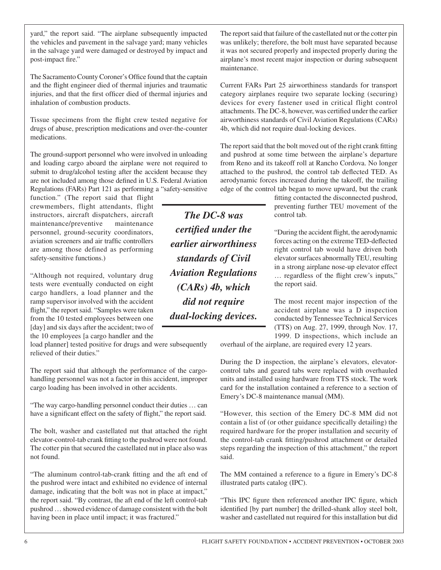yard," the report said. "The airplane subsequently impacted the vehicles and pavement in the salvage yard; many vehicles in the salvage yard were damaged or destroyed by impact and post-impact fire."

The Sacramento County Coroner's Office found that the captain and the flight engineer died of thermal injuries and traumatic injuries, and that the first officer died of thermal injuries and inhalation of combustion products.

Tissue specimens from the flight crew tested negative for drugs of abuse, prescription medications and over-the-counter medications.

The ground-support personnel who were involved in unloading and loading cargo aboard the airplane were not required to submit to drug/alcohol testing after the accident because they are not included among those defined in U.S. Federal Aviation Regulations (FARs) Part 121 as performing a "safety-sensitive

function." (The report said that flight crewmembers, flight attendants, flight instructors, aircraft dispatchers, aircraft maintenance/preventive maintenance personnel, ground-security coordinators, aviation screeners and air traffic controllers are among those defined as performing safety-sensitive functions.)

"Although not required, voluntary drug tests were eventually conducted on eight cargo handlers, a load planner and the ramp supervisor involved with the accident flight," the report said. "Samples were taken from the 10 tested employees between one [day] and six days after the accident; two of the 10 employees [a cargo handler and the

load planner] tested positive for drugs and were subsequently relieved of their duties."

The report said that although the performance of the cargohandling personnel was not a factor in this accident, improper cargo loading has been involved in other accidents.

"The way cargo-handling personnel conduct their duties … can have a significant effect on the safety of flight," the report said.

The bolt, washer and castellated nut that attached the right elevator-control-tab crank fitting to the pushrod were not found. The cotter pin that secured the castellated nut in place also was not found.

"The aluminum control-tab-crank fitting and the aft end of the pushrod were intact and exhibited no evidence of internal damage, indicating that the bolt was not in place at impact," the report said. "By contrast, the aft end of the left control-tab pushrod … showed evidence of damage consistent with the bolt having been in place until impact; it was fractured."

The report said that failure of the castellated nut or the cotter pin was unlikely; therefore, the bolt must have separated because it was not secured properly and inspected properly during the airplane's most recent major inspection or during subsequent maintenance.

Current FARs Part 25 airworthiness standards for transport category airplanes require two separate locking (securing) devices for every fastener used in critical flight control attachments. The DC-8, however, was certified under the earlier airworthiness standards of Civil Aviation Regulations (CARs) 4b, which did not require dual-locking devices.

The report said that the bolt moved out of the right crank fitting and pushrod at some time between the airplane's departure from Reno and its takeoff roll at Rancho Cordova. No longer attached to the pushrod, the control tab deflected TED. As aerodynamic forces increased during the takeoff, the trailing edge of the control tab began to move upward, but the crank

> fitting contacted the disconnected pushrod, preventing further TEU movement of the control tab.

> "During the accident flight, the aerodynamic forces acting on the extreme TED-deflected right control tab would have driven both elevator surfaces abnormally TEU, resulting in a strong airplane nose-up elevator effect … regardless of the flight crew's inputs," the report said.

> The most recent major inspection of the accident airplane was a D inspection conducted by Tennessee Technical Services (TTS) on Aug. 27, 1999, through Nov. 17, 1999. D inspections, which include an

overhaul of the airplane, are required every 12 years.

During the D inspection, the airplane's elevators, elevatorcontrol tabs and geared tabs were replaced with overhauled units and installed using hardware from TTS stock. The work card for the installation contained a reference to a section of Emery's DC-8 maintenance manual (MM).

"However, this section of the Emery DC-8 MM did not contain a list of (or other guidance specifically detailing) the required hardware for the proper installation and security of the control-tab crank fitting/pushrod attachment or detailed steps regarding the inspection of this attachment," the report said.

The MM contained a reference to a figure in Emery's DC-8 illustrated parts catalog (IPC).

"This IPC figure then referenced another IPC figure, which identified [by part number] the drilled-shank alloy steel bolt, washer and castellated nut required for this installation but did

*certified under the earlier airworthiness standards of Civil Aviation Regulations (CARs) 4b, which did not require dual-locking devices.*

*The DC-8 was*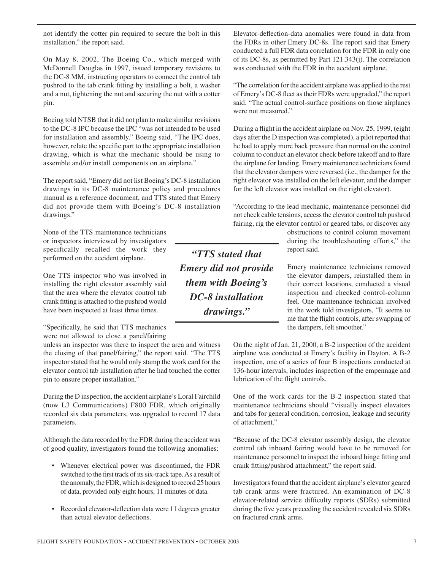not identify the cotter pin required to secure the bolt in this installation," the report said.

On May 8, 2002, The Boeing Co., which merged with McDonnell Douglas in 1997, issued temporary revisions to the DC-8 MM, instructing operators to connect the control tab pushrod to the tab crank fitting by installing a bolt, a washer and a nut, tightening the nut and securing the nut with a cotter pin.

Boeing told NTSB that it did not plan to make similar revisions to the DC-8 IPC because the IPC "was not intended to be used for installation and assembly." Boeing said, "The IPC does, however, relate the specific part to the appropriate installation drawing, which is what the mechanic should be using to assemble and/or install components on an airplane."

The report said, "Emery did not list Boeing's DC-8 installation drawings in its DC-8 maintenance policy and procedures manual as a reference document, and TTS stated that Emery did not provide them with Boeing's DC-8 installation drawings."

None of the TTS maintenance technicians or inspectors interviewed by investigators specifically recalled the work they performed on the accident airplane.

One TTS inspector who was involved in installing the right elevator assembly said that the area where the elevator control tab crank fitting is attached to the pushrod would have been inspected at least three times.

"Specifically, he said that TTS mechanics were not allowed to close a panel/fairing

unless an inspector was there to inspect the area and witness the closing of that panel/fairing," the report said. "The TTS inspector stated that he would only stamp the work card for the elevator control tab installation after he had touched the cotter pin to ensure proper installation."

During the D inspection, the accident airplane's Loral Fairchild (now L3 Communications) F800 FDR, which originally recorded six data parameters, was upgraded to record 17 data parameters.

Although the data recorded by the FDR during the accident was of good quality, investigators found the following anomalies:

- Whenever electrical power was discontinued, the FDR switched to the first track of its six-track tape. As a result of the anomaly, the FDR, which is designed to record 25 hours of data, provided only eight hours, 11 minutes of data.
- Recorded elevator-deflection data were 11 degrees greater than actual elevator deflections.

Elevator-deflection-data anomalies were found in data from the FDRs in other Emery DC-8s. The report said that Emery conducted a full FDR data correlation for the FDR in only one of its DC-8s, as permitted by Part 121.343(j). The correlation was conducted with the FDR in the accident airplane.

"The correlation for the accident airplane was applied to the rest of Emery's DC-8 fleet as their FDRs were upgraded," the report said. "The actual control-surface positions on those airplanes were not measured."

During a flight in the accident airplane on Nov. 25, 1999, (eight days after the D inspection was completed), a pilot reported that he had to apply more back pressure than normal on the control column to conduct an elevator check before takeoff and to flare the airplane for landing. Emery maintenance technicians found that the elevator dampers were reversed (i.e., the damper for the right elevator was installed on the left elevator, and the damper for the left elevator was installed on the right elevator).

"According to the lead mechanic, maintenance personnel did not check cable tensions, access the elevator control tab pushrod fairing, rig the elevator control or geared tabs, or discover any

> obstructions to control column movement during the troubleshooting efforts," the report said.

> Emery maintenance technicians removed the elevator dampers, reinstalled them in their correct locations, conducted a visual inspection and checked control-column feel. One maintenance technician involved in the work told investigators, "It seems to me that the flight controls, after swapping of the dampers, felt smoother."

On the night of Jan. 21, 2000, a B-2 inspection of the accident airplane was conducted at Emery's facility in Dayton. A B-2 inspection, one of a series of four B inspections conducted at 136-hour intervals, includes inspection of the empennage and lubrication of the flight controls.

One of the work cards for the B-2 inspection stated that maintenance technicians should "visually inspect elevators and tabs for general condition, corrosion, leakage and security of attachment."

"Because of the DC-8 elevator assembly design, the elevator control tab inboard fairing would have to be removed for maintenance personnel to inspect the inboard hinge fitting and crank fitting/pushrod attachment," the report said.

Investigators found that the accident airplane's elevator geared tab crank arms were fractured. An examination of DC-8 elevator-related service difficulty reports (SDRs) submitted during the five years preceding the accident revealed six SDRs on fractured crank arms.

*"TTS stated that Emery did not provide them with Boeing's DC-8 installation drawings."*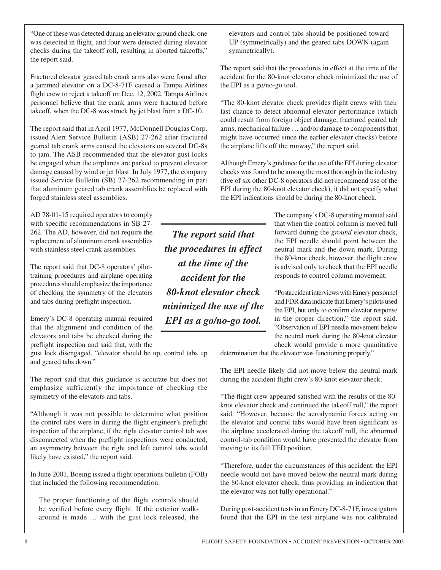"One of these was detected during an elevator ground check, one was detected in flight, and four were detected during elevator checks during the takeoff roll, resulting in aborted takeoffs," the report said.

Fractured elevator geared tab crank arms also were found after a jammed elevator on a DC-8-71F caused a Tampa Airlines flight crew to reject a takeoff on Dec. 12, 2002. Tampa Airlines personnel believe that the crank arms were fractured before takeoff, when the DC-8 was struck by jet blast from a DC-10.

The report said that in April 1977, McDonnell Douglas Corp. issued Alert Service Bulletin (ASB) 27-262 after fractured geared tab crank arms caused the elevators on several DC-8s to jam. The ASB recommended that the elevator gust locks be engaged when the airplanes are parked to prevent elevator damage caused by wind or jet blast. In July 1977, the company issued Service Bulletin (SB) 27-262 recommending in part that aluminum geared tab crank assemblies be replaced with forged stainless steel assemblies.

AD 78-01-15 required operators to comply with specific recommendations in SB 27- 262. The AD, however, did not require the replacement of aluminum crank assemblies with stainless steel crank assemblies.

The report said that DC-8 operators' pilottraining procedures and airplane operating procedures should emphasize the importance of checking the symmetry of the elevators and tabs during preflight inspection.

Emery's DC-8 operating manual required that the alignment and condition of the elevators and tabs be checked during the preflight inspection and said that, with the

gust lock disengaged, "elevator should be up, control tabs up and geared tabs down."

The report said that this guidance is accurate but does not emphasize sufficiently the importance of checking the symmetry of the elevators and tabs.

"Although it was not possible to determine what position the control tabs were in during the flight engineer's preflight inspection of the airplane, if the right elevator control tab was disconnected when the preflight inspections were conducted, an asymmetry between the right and left control tabs would likely have existed," the report said.

In June 2001, Boeing issued a flight operations bulletin (FOB) that included the following recommendation:

The proper functioning of the flight controls should be verified before every flight. If the exterior walkaround is made … with the gust lock released, the

*The report said that the procedures in effect at the time of the accident for the 80-knot elevator check minimized the use of the EPI as a go/no-go tool.*

elevators and control tabs should be positioned toward UP (symmetrically) and the geared tabs DOWN (again symmetrically).

The report said that the procedures in effect at the time of the accident for the 80-knot elevator check minimized the use of the EPI as a go/no-go tool.

"The 80-knot elevator check provides flight crews with their last chance to detect abnormal elevator performance (which could result from foreign object damage, fractured geared tab arms, mechanical failure … and/or damage to components that might have occurred since the earlier elevator checks) before the airplane lifts off the runway," the report said.

Although Emery's guidance for the use of the EPI during elevator checks was found to be among the most thorough in the industry (five of six other DC-8 operators did not recommend use of the EPI during the 80-knot elevator check), it did not specify what the EPI indications should be during the 80-knot check.

> The company's DC-8 operating manual said that when the control column is moved full forward during the *ground* elevator check, the EPI needle should point between the neutral mark and the down mark. During the 80-knot check, however, the flight crew is advised only to check that the EPI needle responds to control column movement.

> "Postaccident interviews with Emery personnel and FDR data indicate that Emery's pilots used the EPI, but only to confirm elevator response in the proper direction," the report said. "Observation of EPI needle movement below the neutral mark during the 80-knot elevator check would provide a more quantitative

determination that the elevator was functioning properly."

The EPI needle likely did not move below the neutral mark during the accident flight crew's 80-knot elevator check.

"The flight crew appeared satisfied with the results of the 80 knot elevator check and continued the takeoff roll," the report said. "However, because the aerodynamic forces acting on the elevator and control tabs would have been significant as the airplane accelerated during the takeoff roll, the abnormal control-tab condition would have prevented the elevator from moving to its full TED position.

"Therefore, under the circumstances of this accident, the EPI needle would not have moved below the neutral mark during the 80-knot elevator check, thus providing an indication that the elevator was not fully operational."

During post-accident tests in an Emery DC-8-71F, investigators found that the EPI in the test airplane was not calibrated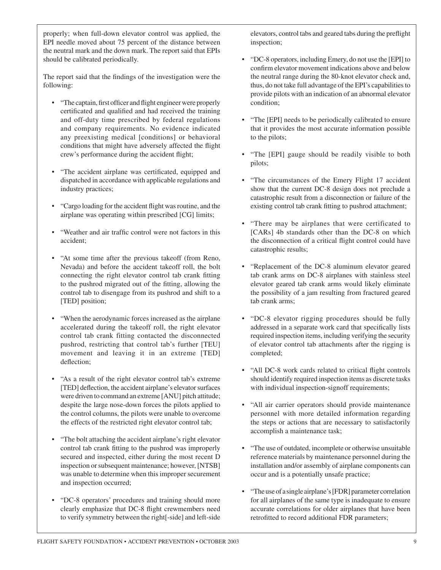properly; when full-down elevator control was applied, the EPI needle moved about 75 percent of the distance between the neutral mark and the down mark. The report said that EPIs should be calibrated periodically.

The report said that the findings of the investigation were the following:

- "The captain, first officer and flight engineer were properly certificated and qualified and had received the training and off-duty time prescribed by federal regulations and company requirements. No evidence indicated any preexisting medical [conditions] or behavioral conditions that might have adversely affected the flight crew's performance during the accident flight;
- "The accident airplane was certificated, equipped and dispatched in accordance with applicable regulations and industry practices;
- "Cargo loading for the accident flight was routine, and the airplane was operating within prescribed [CG] limits;
- "Weather and air traffic control were not factors in this accident;
- "At some time after the previous takeoff (from Reno, Nevada) and before the accident takeoff roll, the bolt connecting the right elevator control tab crank fitting to the pushrod migrated out of the fitting, allowing the control tab to disengage from its pushrod and shift to a [TED] position;
- "When the aerodynamic forces increased as the airplane accelerated during the takeoff roll, the right elevator control tab crank fitting contacted the disconnected pushrod, restricting that control tab's further [TEU] movement and leaving it in an extreme [TED] deflection;
- "As a result of the right elevator control tab's extreme [TED] deflection, the accident airplane's elevator surfaces were driven to command an extreme [ANU] pitch attitude; despite the large nose-down forces the pilots applied to the control columns, the pilots were unable to overcome the effects of the restricted right elevator control tab;
- "The bolt attaching the accident airplane's right elevator control tab crank fitting to the pushrod was improperly secured and inspected, either during the most recent D inspection or subsequent maintenance; however, [NTSB] was unable to determine when this improper securement and inspection occurred;
- "DC-8 operators' procedures and training should more clearly emphasize that DC-8 flight crewmembers need to verify symmetry between the right[-side] and left-side

elevators, control tabs and geared tabs during the preflight inspection;

- "DC-8 operators, including Emery, do not use the [EPI] to confirm elevator movement indications above and below the neutral range during the 80-knot elevator check and, thus, do not take full advantage of the EPI's capabilities to provide pilots with an indication of an abnormal elevator condition;
- "The [EPI] needs to be periodically calibrated to ensure that it provides the most accurate information possible to the pilots;
- "The [EPI] gauge should be readily visible to both pilots;
- "The circumstances of the Emery Flight 17 accident show that the current DC-8 design does not preclude a catastrophic result from a disconnection or failure of the existing control tab crank fitting to pushrod attachment;
- "There may be airplanes that were certificated to [CARs] 4b standards other than the DC-8 on which the disconnection of a critical flight control could have catastrophic results;
- "Replacement of the DC-8 aluminum elevator geared tab crank arms on DC-8 airplanes with stainless steel elevator geared tab crank arms would likely eliminate the possibility of a jam resulting from fractured geared tab crank arms;
- "DC-8 elevator rigging procedures should be fully addressed in a separate work card that specifically lists required inspection items, including verifying the security of elevator control tab attachments after the rigging is completed;
- "All DC-8 work cards related to critical flight controls should identify required inspection items as discrete tasks with individual inspection-signoff requirements;
- "All air carrier operators should provide maintenance personnel with more detailed information regarding the steps or actions that are necessary to satisfactorily accomplish a maintenance task;
- "The use of outdated, incomplete or otherwise unsuitable reference materials by maintenance personnel during the installation and/or assembly of airplane components can occur and is a potentially unsafe practice;
- "The use of a single airplane's [FDR] parameter correlation for all airplanes of the same type is inadequate to ensure accurate correlations for older airplanes that have been retrofitted to record additional FDR parameters;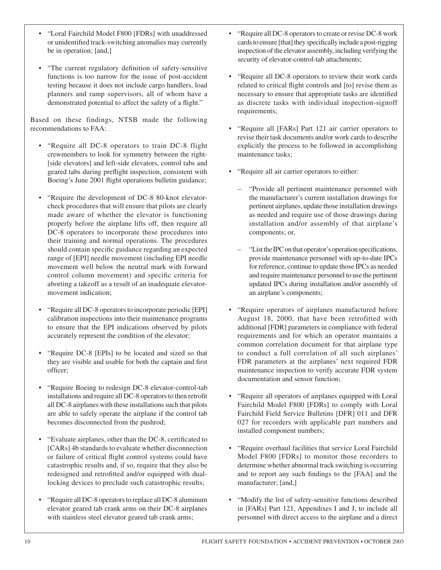- "Loral Fairchild Model F800 [FDRs] with unaddressed or unidentified track-switching anomalies may currently be in operation; [and,]
- "The current regulatory definition of safety-sensitive functions is too narrow for the issue of post-accident testing because it does not include cargo handlers, load planners and ramp supervisors, all of whom have a demonstrated potential to affect the safety of a flight."

Based on these findings, NTSB made the following recommendations to FAA:

- "Require all DC-8 operators to train DC-8 flight crewmembers to look for symmetry between the right- [side elevators] and left-side elevators, control tabs and geared tabs during preflight inspection, consistent with Boeing's June 2001 flight operations bulletin guidance;
- "Require the development of DC-8 80-knot elevatorcheck procedures that will ensure that pilots are clearly made aware of whether the elevator is functioning properly before the airplane lifts off, then require all DC-8 operators to incorporate these procedures into their training and normal operations. The procedures should contain specific guidance regarding an expected range of [EPI] needle movement (including EPI needle movement well below the neutral mark with forward control column movement) and specific criteria for aborting a takeoff as a result of an inadequate elevatormovement indication;
- "Require all DC-8 operators to incorporate periodic [EPI] calibration inspections into their maintenance programs to ensure that the EPI indications observed by pilots accurately represent the condition of the elevator;
- "Require DC-8 [EPIs] to be located and sized so that they are visible and usable for both the captain and first officer;
- "Require Boeing to redesign DC-8 elevator-control-tab installations and require all DC-8 operators to then retrofit all DC-8 airplanes with these installations such that pilots are able to safely operate the airplane if the control tab becomes disconnected from the pushrod;
- "Evaluate airplanes, other than the DC-8, certificated to [CARs] 4b standards to evaluate whether disconnection or failure of critical flight control systems could have catastrophic results and, if so, require that they also be redesigned and retrofitted and/or equipped with duallocking devices to preclude such catastrophic results;
- "Require all DC-8 operators to replace all DC-8 aluminum elevator geared tab crank arms on their DC-8 airplanes with stainless steel elevator geared tab crank arms;
- "Require all DC-8 operators to create or revise DC-8 work cards to ensure [that] they specifically include a post-rigging inspection of the elevator assembly, including verifying the security of elevator-control-tab attachments;
- "Require all DC-8 operators to review their work cards related to critical flight controls and [to] revise them as necessary to ensure that appropriate tasks are identified as discrete tasks with individual inspection-signoff requirements;
- "Require all [FARs] Part 121 air carrier operators to revise their task documents and/or work cards to describe explicitly the process to be followed in accomplishing maintenance tasks;
- "Require all air carrier operators to either:
	- "Provide all pertinent maintenance personnel with the manufacturer's current installation drawings for pertinent airplanes, update those installation drawings as needed and require use of those drawings during installation and/or assembly of that airplane's components; or,
	- "List the IPC on that operator's operation specifications, provide maintenance personnel with up-to-date IPCs for reference, continue to update those IPCs as needed and require maintenance personnel to use the pertinent updated IPCs during installation and/or assembly of an airplane's components;
- "Require operators of airplanes manufactured before August 18, 2000, that have been retrofitted with additional [FDR] parameters in compliance with federal requirements and for which an operator maintains a common correlation document for that airplane type to conduct a full correlation of all such airplanes' FDR parameters at the airplanes' next required FDR maintenance inspection to verify accurate FDR system documentation and sensor function;
- "Require all operators of airplanes equipped with Loral Fairchild Model F800 [FDRs] to comply with Loral Fairchild Field Service Bulletins [DFR] 011 and DFR 027 for recorders with applicable part numbers and installed component numbers;
- "Require overhaul facilities that service Loral Fairchild Model F800 [FDRs] to monitor those recorders to determine whether abnormal track switching is occurring and to report any such findings to the [FAA] and the manufacturer; [and,]
- "Modify the list of safety-sensitive functions described in [FARs] Part 121, Appendixes I and J, to include all personnel with direct access to the airplane and a direct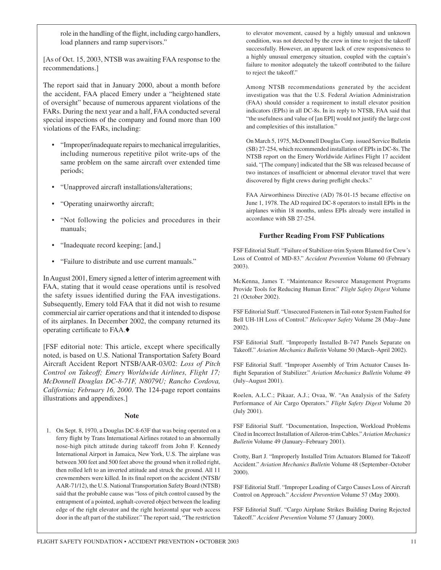role in the handling of the flight, including cargo handlers, load planners and ramp supervisors."

[As of Oct. 15, 2003, NTSB was awaiting FAA response to the recommendations.]

The report said that in January 2000, about a month before the accident, FAA placed Emery under a "heightened state of oversight" because of numerous apparent violations of the FARs. During the next year and a half, FAA conducted several special inspections of the company and found more than 100 violations of the FARs, including:

- "Improper/inadequate repairs to mechanical irregularities, including numerous repetitive pilot write-ups of the same problem on the same aircraft over extended time periods;
- "Unapproved aircraft installations/alterations;
- "Operating unairworthy aircraft;
- "Not following the policies and procedures in their manuals;
- "Inadequate record keeping; [and,]
- "Failure to distribute and use current manuals."

In August 2001, Emery signed a letter of interim agreement with FAA, stating that it would cease operations until is resolved the safety issues identified during the FAA investigations. Subsequently, Emery told FAA that it did not wish to resume commercial air carrier operations and that it intended to dispose of its airplanes. In December 2002, the company returned its operating certificate to FAA.♦

[FSF editorial note: This article, except where specifically noted, is based on U.S. National Transportation Safety Board Aircraft Accident Report NTSB/AAR-03/02: *Loss of Pitch Control on Takeoff; Emery Worldwide Airlines, Flight 17; McDonnell Douglas DC-8-71F, N8079U; Rancho Cordova, California; February 16, 2000*. The 124-page report contains illustrations and appendixes.]

## **Note**

1. On Sept. 8, 1970, a Douglas DC-8-63F that was being operated on a ferry flight by Trans International Airlines rotated to an abnormally nose-high pitch attitude during takeoff from John F. Kennedy International Airport in Jamaica, New York, U.S. The airplane was between 300 feet and 500 feet above the ground when it rolled right, then rolled left to an inverted attitude and struck the ground. All 11 crewmembers were killed. In its final report on the accident (NTSB/ AAR-71/12), the U.S. National Transportation Safety Board (NTSB) said that the probable cause was "loss of pitch control caused by the entrapment of a pointed, asphalt-covered object between the leading edge of the right elevator and the right horizontal spar web access door in the aft part of the stabilizer." The report said, "The restriction to elevator movement, caused by a highly unusual and unknown condition, was not detected by the crew in time to reject the takeoff successfully. However, an apparent lack of crew responsiveness to a highly unusual emergency situation, coupled with the captain's failure to monitor adequately the takeoff contributed to the failure to reject the takeoff."

Among NTSB recommendations generated by the accident investigation was that the U.S. Federal Aviation Administration (FAA) should consider a requirement to install elevator position indicators (EPIs) in all DC-8s. In its reply to NTSB, FAA said that "the usefulness and value of [an EPI] would not justify the large cost and complexities of this installation."

On March 5, 1975, McDonnell Douglas Corp. issued Service Bulletin (SB) 27-254, which recommended installation of EPIs in DC-8s. The NTSB report on the Emery Worldwide Airlines Flight 17 accident said, "[The company] indicated that the SB was released because of two instances of insufficient or abnormal elevator travel that were discovered by flight crews during preflight checks."

FAA Airworthiness Directive (AD) 78-01-15 became effective on June 1, 1978. The AD required DC-8 operators to install EPIs in the airplanes within 18 months, unless EPIs already were installed in accordance with SB 27-254.

## **Further Reading From FSF Publications**

FSF Editorial Staff. "Failure of Stabilizer-trim System Blamed for Crew's Loss of Control of MD-83." *Accident Prevention* Volume 60 (February 2003).

McKenna, James T. "Maintenance Resource Management Programs Provide Tools for Reducing Human Error." *Flight Safety Digest* Volume 21 (October 2002).

FSF Editorial Staff. "Unsecured Fasteners in Tail-rotor System Faulted for Bell UH-1H Loss of Control." *Helicopter Safety* Volume 28 (May–June 2002).

FSF Editorial Staff. "Improperly Installed B-747 Panels Separate on Takeoff." *Aviation Mechanics Bulletin* Volume 50 (March–April 2002).

FSF Editorial Staff. "Improper Assembly of Trim Actuator Causes Inflight Separation of Stabilizer." *Aviation Mechanics Bulletin* Volume 49 (July–August 2001).

Roelen, A.L.C.; Pikaar, A.J.; Ovaa, W. "An Analysis of the Safety Performance of Air Cargo Operators." *Flight Safety Digest* Volume 20 (July 2001).

FSF Editorial Staff. "Documentation, Inspection, Workload Problems Cited in Incorrect Installation of Aileron-trim Cables." *Aviation Mechanics Bulletin* Volume 49 (January–February 2001).

Crotty, Bart J. "Improperly Installed Trim Actuators Blamed for Takeoff Accident." *Aviation Mechanics Bulletin* Volume 48 (September–October 2000).

FSF Editorial Staff. "Improper Loading of Cargo Causes Loss of Aircraft Control on Approach." *Accident Prevention* Volume 57 (May 2000).

FSF Editorial Staff. "Cargo Airplane Strikes Building During Rejected Takeoff." *Accident Prevention* Volume 57 (January 2000).